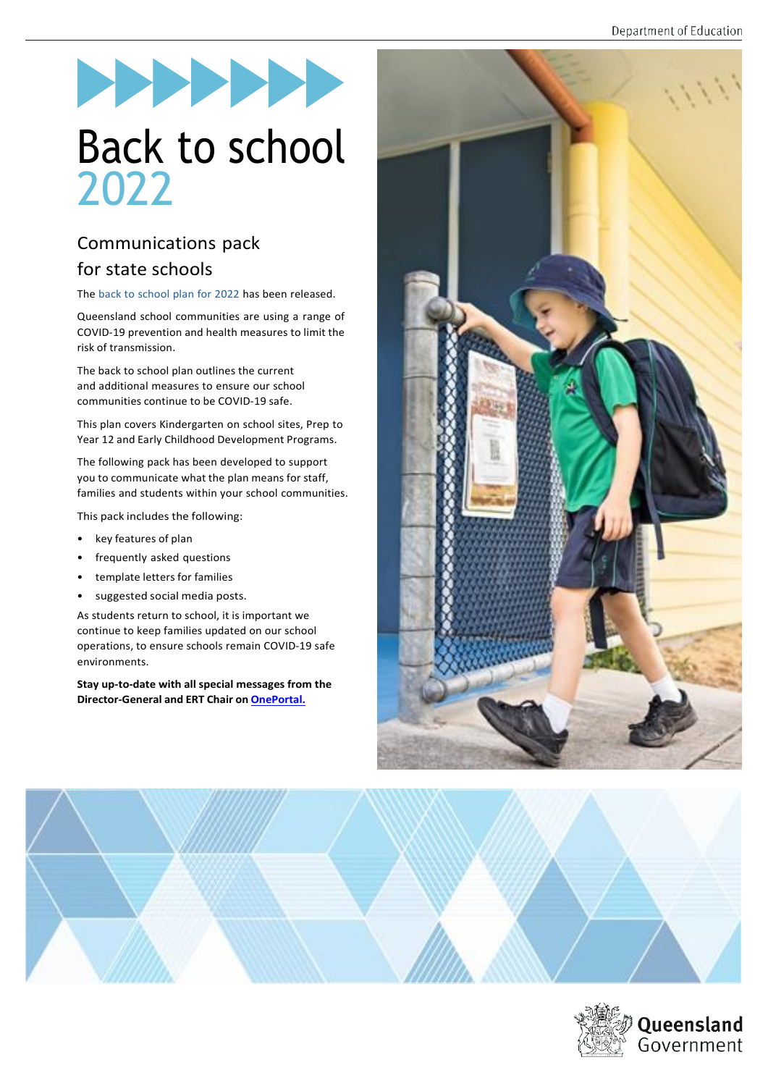# Back to school 2022

## Communications pack for state schools

The back to [school](https://qed.qld.gov.au/covid19/back-to-school) plan for 2022 has been released.

Queensland school communities are using a range of COVID-19 prevention and health measures to limit the risk of transmission.

The back to school plan outlines the current and additional measures to ensure our school communities continue to be COVID-19 safe.

This plan covers Kindergarten on school sites, Prep to Year 12 and Early Childhood Development Programs.

The following pack has been developed to support you to communicate what the plan means for staff, families and students within your school communities.

This pack includes the following:

- key features of plan
- frequently asked questions
- template letters for families
- suggested social media posts.

As students return to school, it is important we continue to keep families updated on our school operations, to ensure schools remain COVID-19 safe environments.

**Stay up-to-date with all special messages from the Director-General and ERT Chair on [OnePortal.](https://intranet.qed.qld.gov.au/about/newsandmedia/MessageFromTheDG/2022specialmessagesDG)**





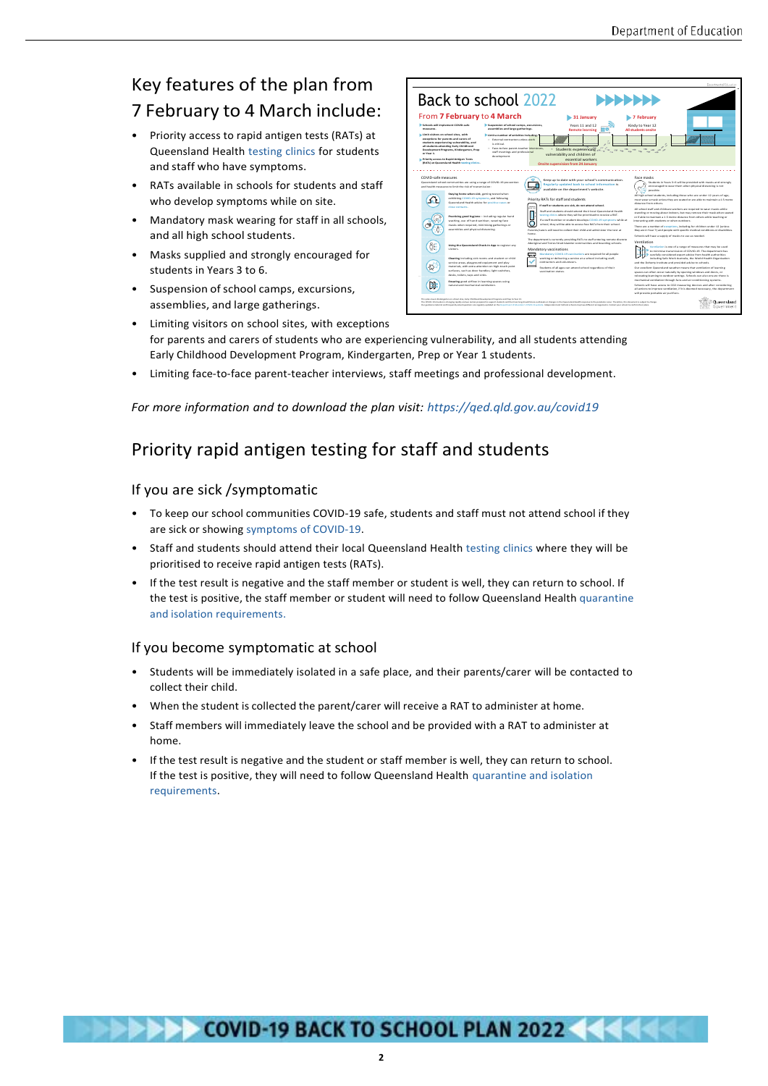## Key features of the plan from 7 February to 4 March include:

- Priority access to rapid antigen tests (RATs) at Queensland Health [testing](https://www.qld.gov.au/health/conditions/health-alerts/coronavirus-covid-19/stay-informed/exposed-to-covid/covid-testing-in-queensland/type-of-test-pcr-or-rat) clinics for students and staff who have symptoms.
- RATs available in schools for students and staff who develop symptoms while on site.
- Mandatory mask wearing for staff in all schools, and all high school students.
- Masks supplied and strongly encouraged for students in Years 3 to 6.
- Suspension of school camps, excursions, assemblies, and large gatherings.

|                                                                                                                                                                                                                                                                                                                                                                                                                                                                                |                                                                                                                                                                                                                                                                                                                                                                                                                                                                                                |                                                                                                                                                                                                                                                                                                                                                                                                                                                                                                                                                                                                                    | Department of Education                                                                                                                                                                                                                                                                                                                                                                                                                                                                                                                                                                                                                                                                                                                                                                                                                              |
|--------------------------------------------------------------------------------------------------------------------------------------------------------------------------------------------------------------------------------------------------------------------------------------------------------------------------------------------------------------------------------------------------------------------------------------------------------------------------------|------------------------------------------------------------------------------------------------------------------------------------------------------------------------------------------------------------------------------------------------------------------------------------------------------------------------------------------------------------------------------------------------------------------------------------------------------------------------------------------------|--------------------------------------------------------------------------------------------------------------------------------------------------------------------------------------------------------------------------------------------------------------------------------------------------------------------------------------------------------------------------------------------------------------------------------------------------------------------------------------------------------------------------------------------------------------------------------------------------------------------|------------------------------------------------------------------------------------------------------------------------------------------------------------------------------------------------------------------------------------------------------------------------------------------------------------------------------------------------------------------------------------------------------------------------------------------------------------------------------------------------------------------------------------------------------------------------------------------------------------------------------------------------------------------------------------------------------------------------------------------------------------------------------------------------------------------------------------------------------|
| Back to school 2022<br>,,,,,,,                                                                                                                                                                                                                                                                                                                                                                                                                                                 |                                                                                                                                                                                                                                                                                                                                                                                                                                                                                                |                                                                                                                                                                                                                                                                                                                                                                                                                                                                                                                                                                                                                    |                                                                                                                                                                                                                                                                                                                                                                                                                                                                                                                                                                                                                                                                                                                                                                                                                                                      |
| Schools will implement COVID-rafe<br><b>MANDLONE</b><br>In Limit visitors on school sites, with<br>or Year 1.                                                                                                                                                                                                                                                                                                                                                                  | From 7 February to 4 March<br>Suspension of school camps, excursions,<br>assemblies and large gatherings.<br>Limit a number of activities including:<br>exceptions for parents and carers of<br>- External contractors unless work-<br>students experiencing vulnerability, and<br>is critical.<br>all students attending Early Childhood<br>- Face-to-face parent-teacher interviews.<br>Development Programs, Kindergarten, Prep<br>staff meetings and professional<br>development.          | 31 January<br>Years 11 and 12<br><b>Remote learning</b><br>vulnerability and children of                                                                                                                                                                                                                                                                                                                                                                                                                                                                                                                           | 7 February<br>Kindy to Year 12<br>All students onsite                                                                                                                                                                                                                                                                                                                                                                                                                                                                                                                                                                                                                                                                                                                                                                                                |
|                                                                                                                                                                                                                                                                                                                                                                                                                                                                                | In Priority access to Rapid Antigen Tests<br>(RATs) at Queensland Health testing clinics.                                                                                                                                                                                                                                                                                                                                                                                                      | essential workers                                                                                                                                                                                                                                                                                                                                                                                                                                                                                                                                                                                                  |                                                                                                                                                                                                                                                                                                                                                                                                                                                                                                                                                                                                                                                                                                                                                                                                                                                      |
| <b>Onsite supervision from 24 January</b>                                                                                                                                                                                                                                                                                                                                                                                                                                      |                                                                                                                                                                                                                                                                                                                                                                                                                                                                                                |                                                                                                                                                                                                                                                                                                                                                                                                                                                                                                                                                                                                                    |                                                                                                                                                                                                                                                                                                                                                                                                                                                                                                                                                                                                                                                                                                                                                                                                                                                      |
| COVID-safe measures                                                                                                                                                                                                                                                                                                                                                                                                                                                            | Queensland school communities are using a range of COVID-19 prevention<br>and health measures to limit the dak of transmission:<br>Staying home when sick, getting tested when<br>exhibiting COVID-19 eymptoms, and following<br>Queensland Health advice for positive cases or<br>close contacts.<br>Practicing good hygiene - including regular hand<br>washing, use of hand sanitiser, wearing face<br>marks when required, minimising eatherings or<br>assemblies and physical distancing. | Keep up to date with your school's communication.<br>Regularly updated back to school information is<br>available on the department's website.<br>Priority RATs for staff and students<br>If staff or students are sick, do not attend school.<br>Staff and students should attend their local Queensland Health<br>testing clinics where they will be prioritised to receive a RAT.<br>If a staff member or student develops COVID-19 symptoms while at<br>school, they will be able to access free RATs from their school.<br>Parents/carers will need to collect their child and administer the test at<br>home | Face masks<br>Students in Years 3-6 will be provided with masks and strongly<br>encouraged to wear them when physical distancing is not<br>possible.<br>All high school students, including those who are under 12 years of age.<br>must wear a mask unless they are seated or are able to maintain a 1.5 metre.<br>distance from others<br>All school staff and childcare workers are required to wear masks while<br>standing or moving about indoors, but may remove their mask when seated<br>or if able to maintain a 1.5 metre distance from others while teaching or<br>interacting with students or when outdoors.<br>There are a number of exceptions, including for children under 12 juniess<br>they are in Year 7) and people with specific medical conditions or disabilities.<br>Schools will have a supply of masks to use as needed. |
|                                                                                                                                                                                                                                                                                                                                                                                                                                                                                | Using the Queensland Check-In App to register any<br>visitors.<br>Cleaning including sick rooms and student or child                                                                                                                                                                                                                                                                                                                                                                           | The department is currently providing RATs to staff entering remote discrete<br>Aboriginal and Torres Strait Islander communities and boarding schools.<br>Mandatory vaccinations<br>Mandatory COVID-19 vaccinations are required for all people<br>working or delivering a service at a school including staff.                                                                                                                                                                                                                                                                                                   | Ventilation<br>Ventilation is one of a range of measures that may be used<br>to minimise transmission of COVID-19. The department has<br>carefully considered expert advice from health authorities<br>including Safe Work Australia, the World Health Organisation                                                                                                                                                                                                                                                                                                                                                                                                                                                                                                                                                                                  |
|                                                                                                                                                                                                                                                                                                                                                                                                                                                                                | service areas, glaveround equipment and glav-<br>materials, with extra attention on high-touch point<br>surfaces, such as door handles. light switches,<br>desks, toilets, taps and sinks.<br>Ensyring good airflow in learning spaces using                                                                                                                                                                                                                                                   | contractors and volunteers.<br>Students of all ages can attend school regardless of their<br>vaccination status.                                                                                                                                                                                                                                                                                                                                                                                                                                                                                                   | and the Doherty institute and provided advice to schools.<br>Our excellent Queensland weather means that ventilation of learning<br>spaces can often occur naturally by opening windows and doors, or<br>relocating learning to outdoor settings. Schools can also ensure there is<br>mechanical ventilation through fans and air conditioning systems.                                                                                                                                                                                                                                                                                                                                                                                                                                                                                              |
| N.                                                                                                                                                                                                                                                                                                                                                                                                                                                                             | natural and mechanical ventilation.<br>This alan course Kinderspelen are wheel sites. Early Childhand Development Programs and Preachs Year 13.                                                                                                                                                                                                                                                                                                                                                |                                                                                                                                                                                                                                                                                                                                                                                                                                                                                                                                                                                                                    | Schools will have access to CO2 measuring devices and after considering<br>all actions to improve ventilation. If it is deemed necessary, the department<br>will provide portable air purifiers.                                                                                                                                                                                                                                                                                                                                                                                                                                                                                                                                                                                                                                                     |
| Queensland<br>The COVID 18 situation is shared ne and this and use nervous company if is summer sharkers and their inancing should future excitenatis, or sharepress the Currenciaed Health resumes to the appointments must. Therefore, thi<br>Our publisherate material and frequently asked spendiom are regularly updated entitle Department of Education's COVID 18 website. Independent and Calholis schools note out all benefit properties. Contact your school to con |                                                                                                                                                                                                                                                                                                                                                                                                                                                                                                |                                                                                                                                                                                                                                                                                                                                                                                                                                                                                                                                                                                                                    |                                                                                                                                                                                                                                                                                                                                                                                                                                                                                                                                                                                                                                                                                                                                                                                                                                                      |

- Limiting visitors on school sites, with exceptions for parents and carers of students who are experiencing vulnerability, and all students attending Early Childhood Development Program, Kindergarten, Prep or Year 1 students.
- Limiting face-to-face parent-teacher interviews, staff meetings and professional development.

#### *For more information and to download the plan visit: <https://qed.qld.gov.au/covid19>*

## Priority rapid antigen testing for staff and students

#### If you are sick /symptomatic

- To keep our school communities COVID-19 safe, students and staff must not attend school if they are sick or showing [symptoms](https://www.qld.gov.au/health/conditions/health-alerts/coronavirus-covid-19/stay-informed/exposed-to-covid/covid-testing-in-queensland/when-to-get-tested) of COVID-19.
- Staff and students should attend their local Queensland Health [testing](https://www.qld.gov.au/health/conditions/health-alerts/coronavirus-covid-19/stay-informed/exposed-to-covid/covid-testing-in-queensland/type-of-test-pcr-or-rat) clinics where they will be prioritised to receive rapid antigen tests (RATs).
- If the test result is negative and the staff member or student is well, they can return to school. If the test is positive, the staff member or student will need to follow Queensland Health [quarantine](https://www.qld.gov.au/health/conditions/health-alerts/coronavirus-covid-19/stay-informed/i-have-covid/isolation/how-to-isolate) and isolation [requirements.](https://www.qld.gov.au/health/conditions/health-alerts/coronavirus-covid-19/stay-informed/i-have-covid/isolation/how-to-isolate)

#### If you become symptomatic at school

- Students will be immediately isolated in a safe place, and their parents/carer will be contacted to collect their child.
- When the student is collected the parent/carer will receive a RAT to administer at home.
- Staff members will immediately leave the school and be provided with a RAT to administer at home.
- If the test result is negative and the student or staff member is well, they can return to school. If the test is positive, they will need to follow Queensland Health [quarantine and isolation](https://www.qld.gov.au/health/conditions/health-alerts/coronavirus-covid-19/stay-informed/i-have-covid/isolation/how-to-isolate) [requirements.](https://www.qld.gov.au/health/conditions/health-alerts/coronavirus-covid-19/stay-informed/i-have-covid/isolation/how-to-isolate)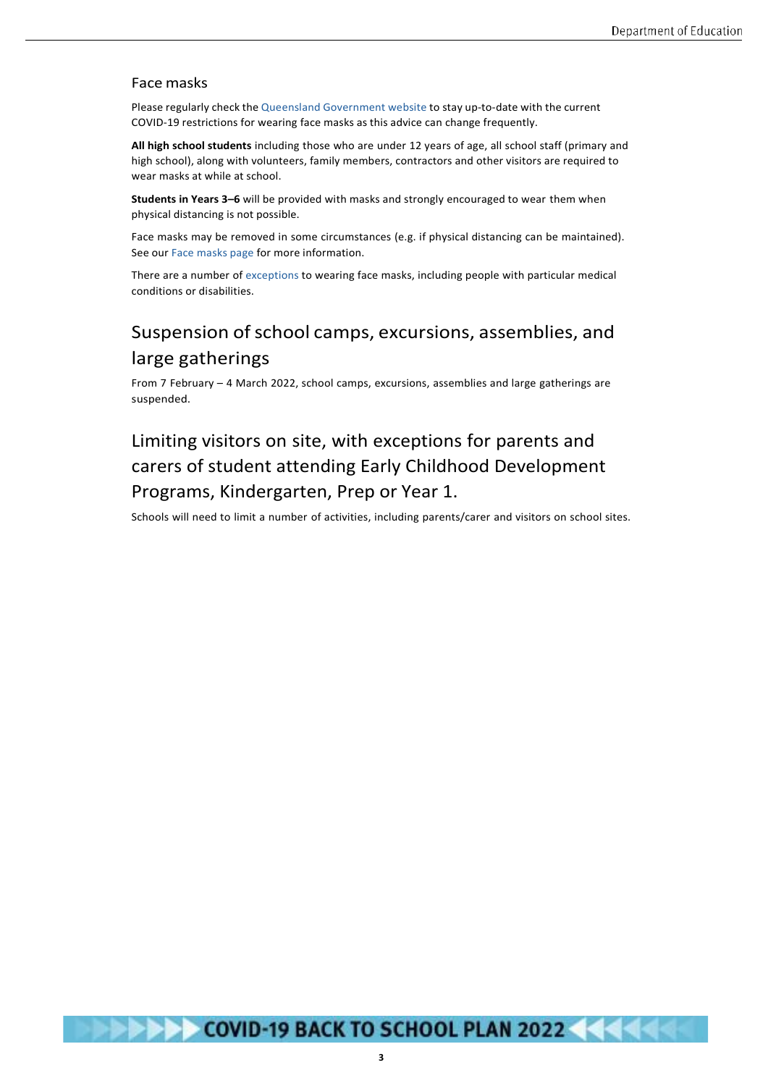#### Face masks

Please regularly check the Queensland [Government](https://www.covid19.qld.gov.au/) website to stay up-to-date with the current COVID-19 restrictions for wearing face masks as this advice can change frequently.

**All high school students** including those who are under 12 years of age, all school staff (primary and high school), along with volunteers, family members, contractors and other visitors are required to wear masks at while at school.

**Students in Years 3–6** will be provided with masks and strongly encouraged to wear them when physical distancing is not possible.

Face masks may be removed in some circumstances (e.g. if physical distancing can be maintained). See our Face [masks](https://qed.qld.gov.au/covid19/covid-safe-for-education/face-masks) page for more information.

There are a number of [exceptions](https://www.qld.gov.au/health/conditions/health-alerts/coronavirus-covid-19/current-status/public-health-directions/mandatory-masks#exceptions-face-masks) to wearing face masks, including people with particular medical conditions or disabilities.

## Suspension of school camps, excursions, assemblies, and large gatherings

From 7 February – 4 March 2022, school camps, excursions, assemblies and large gatherings are suspended.

## Limiting visitors on site, with exceptions for parents and carers of student attending Early Childhood Development Programs, Kindergarten, Prep or Year 1.

Schools will need to limit a number of activities, including parents/carer and visitors on school sites.

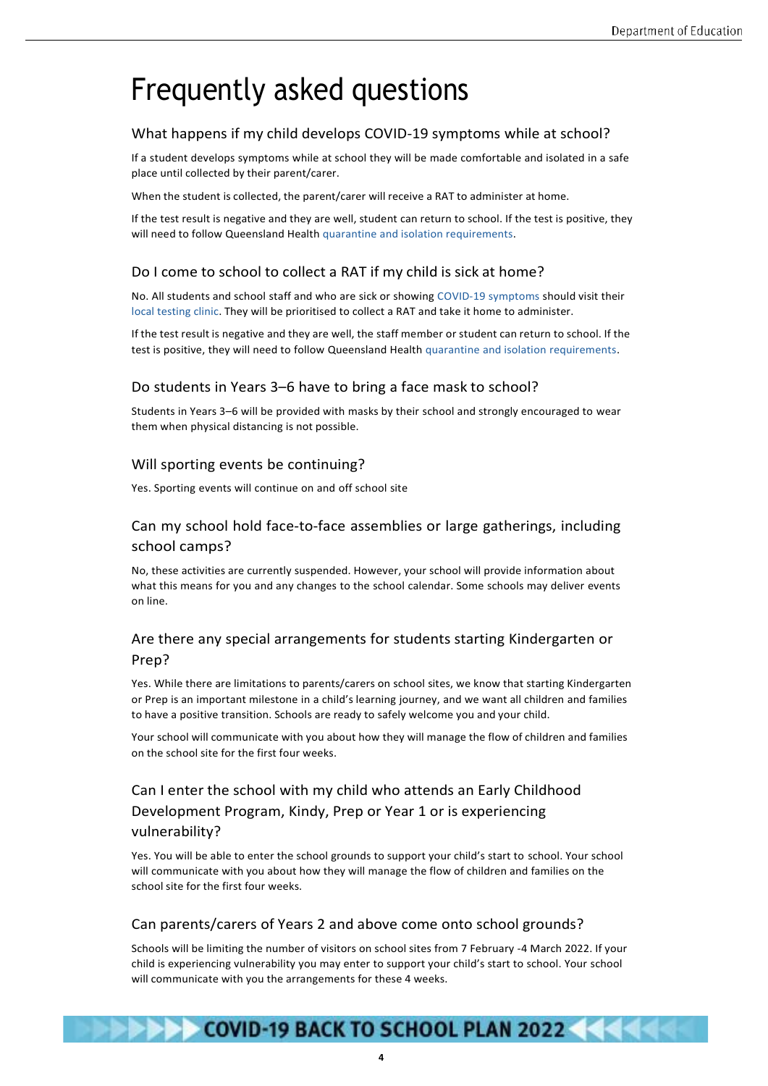# Frequently asked questions

#### What happens if my child develops COVID-19 symptoms while at school?

If a student develops symptoms while at school they will be made comfortable and isolated in a safe place until collected by their parent/carer.

When the student is collected, the parent/carer will receive a RAT to administer at home.

If the test result is negative and they are well, student can return to school. If the test is positive, they will need to follow Queensland Health quarantine and isolation [requirements.](https://www.qld.gov.au/health/conditions/health-alerts/coronavirus-covid-19/stay-informed/i-have-covid/isolation/how-to-isolate)

#### Do I come to school to collect a RAT if my child is sick at home?

No. All students and school staff and who are sick or showing COVID-19 [symptoms s](https://www.qld.gov.au/health/conditions/health-alerts/coronavirus-covid-19/stay-informed/symptoms-of-novel-coronavirus-covid-19-comparison)hould visit their local [testing](https://www.qld.gov.au/health/conditions/health-alerts/coronavirus-covid-19/stay-informed/exposed-to-covid/covid-testing-in-queensland) clinic. They will be prioritised to collect a RAT and take it home to administer.

If the test result is negative and they are well, the staff member or student can return to school. If the test is positive, they will need to follow Queensland Health quarantine and isolation [requirements.](https://www.qld.gov.au/health/conditions/health-alerts/coronavirus-covid-19/stay-informed/i-have-covid/isolation/how-to-isolate)

#### Do students in Years 3–6 have to bring a face mask to school?

Students in Years 3–6 will be provided with masks by their school and strongly encouraged to wear them when physical distancing is not possible.

#### Will sporting events be continuing?

Yes. Sporting events will continue on and off school site

#### Can my school hold face-to-face assemblies or large gatherings, including school camps?

No, these activities are currently suspended. However, your school will provide information about what this means for you and any changes to the school calendar. Some schools may deliver events on line.

#### Are there any special arrangements for students starting Kindergarten or Prep?

Yes. While there are limitations to parents/carers on school sites, we know that starting Kindergarten or Prep is an important milestone in a child's learning journey, and we want all children and families to have a positive transition. Schools are ready to safely welcome you and your child.

Your school will communicate with you about how they will manage the flow of children and families on the school site for the first four weeks.

#### Can I enter the school with my child who attends an Early Childhood Development Program, Kindy, Prep or Year 1 or is experiencing vulnerability?

Yes. You will be able to enter the school grounds to support your child's start to school. Your school will communicate with you about how they will manage the flow of children and families on the school site for the first four weeks.

#### Can parents/carers of Years 2 and above come onto school grounds?

Schools will be limiting the number of visitors on school sites from 7 February -4 March 2022. If your child is experiencing vulnerability you may enter to support your child's start to school. Your school will communicate with you the arrangements for these 4 weeks.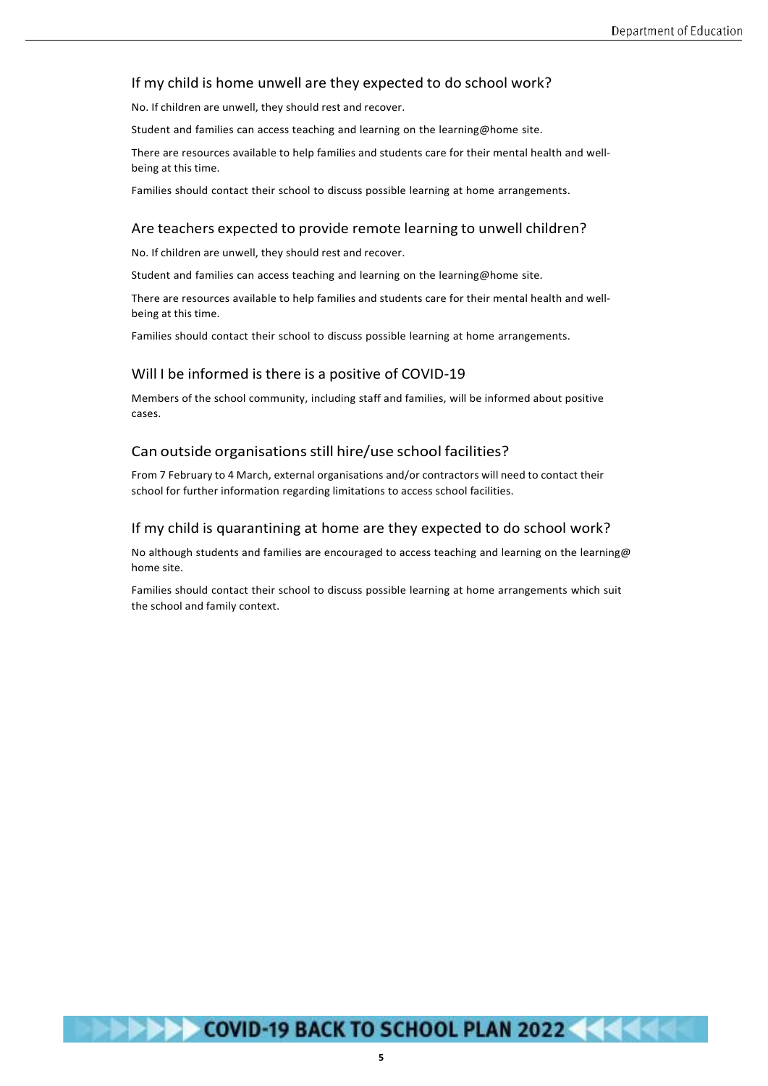#### If my child is home unwell are they expected to do school work?

No. If children are unwell, they should rest and recover.

Student and families can access teaching and learning on the learning@home site.

There are resources available to help families and students care for their mental health and wellbeing at this time.

Families should contact their school to discuss possible learning at home arrangements.

#### Are teachers expected to provide remote learning to unwell children?

No. If children are unwell, they should rest and recover.

Student and families can access teaching and learning on the learning@home site.

There are resources available to help families and students care for their mental health and wellbeing at this time.

Families should contact their school to discuss possible learning at home arrangements.

#### Will I be informed is there is a positive of COVID-19

Members of the school community, including staff and families, will be informed about positive cases.

#### Can outside organisations still hire/use school facilities?

From 7 February to 4 March, external organisations and/or contractors will need to contact their school for further information regarding limitations to access school facilities.

#### If my child is quarantining at home are they expected to do school work?

No although students and families are encouraged to access teaching and learning on the learning@ home site.

Families should contact their school to discuss possible learning at home arrangements which suit the school and family context.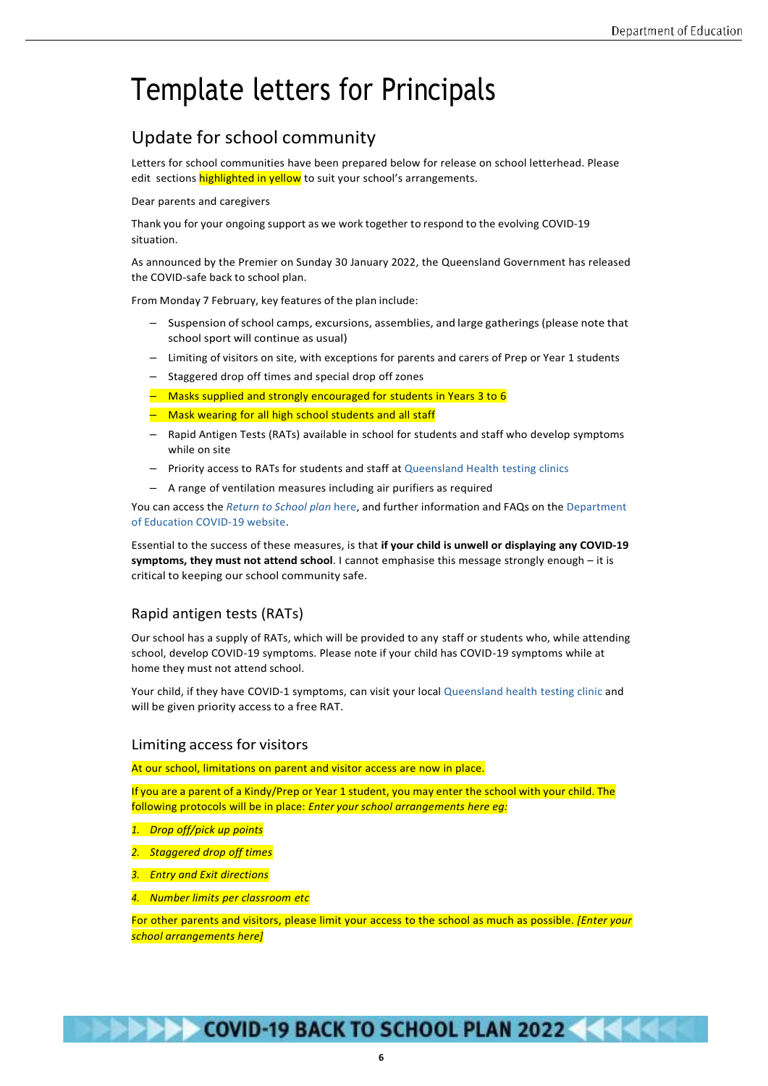# Template letters for Principals

## Update for school community

Letters for school communities have been prepared below for release on school letterhead. Please edit sections highlighted in yellow to suit your school's arrangements.

Dear parents and caregivers

Thank you for your ongoing support as we work together to respond to the evolving COVID-19 situation.

As announced by the Premier on Sunday 30 January 2022, the Queensland Government has released the COVID-safe back to school plan.

From Monday 7 February, key features of the plan include:

- Suspension ofschool camps, excursions, assemblies, and large gatherings(please note that school sport will continue as usual)
- Limiting of visitors on site, with exceptions for parents and carers of Prep or Year 1 students
- Staggered drop off times and special drop off zones
- $-$  Masks supplied and strongly encouraged for students in Years 3 to 6
- Mask wearing for all high school students and all staff
- Rapid Antigen Tests (RATs) available in school for students and staff who develop symptoms while on site
- Priority access to RATs for students and staff a[t Queensland Health](https://www.qld.gov.au/health/conditions/health-alerts/coronavirus-covid-19/stay-informed/exposed-to-covid/covid-testing-in-queensland#testing-centre-map) testing clinics
- A range of ventilation measures including air purifiers as required

You can access the *[Return](https://qed.qld.gov.au/covid19/back-to-school) to School plan* here, and further information and FAQs on the [Department](https://qed.qld.gov.au/covid19/) of [Education](https://qed.qld.gov.au/covid19/) COVID-19 website.

Essential to the success of these measures, is that **if your child is unwell or displaying any COVID-19 symptoms, they must not attend school**. I cannot emphasise this message strongly enough – it is critical to keeping our school community safe.

#### Rapid antigen tests (RATs)

Our school has a supply of RATs, which will be provided to any staff or students who, while attending school, develop COVID-19 symptoms. Please note if your child has COVID-19 symptoms while at home they must not attend school.

Your child, if they have COVID-1 symptoms, can visit your local [Queensland health](https://www.qld.gov.au/health/conditions/health-alerts/coronavirus-covid-19/stay-informed/exposed-to-covid/covid-testing-in-queensland#testing-centre-map) testing clinic and will be given priority access to a free RAT.

#### Limiting access for visitors

At our school, limitations on parent and visitor access are now in place.

If you are a parent of a Kindy/Prep or Year 1 student, you may enter the school with your child. The following protocols will be in place: *Enter your school arrangements here eg:*

- *1. Drop off/pick up points*
- *2. Staggered drop off times*
- *3. Entry and Exit directions*
- *4. Number limits per classroom etc*

For other parents and visitors, please limit your access to the school as much as possible. *[Enter your school arrangements here]*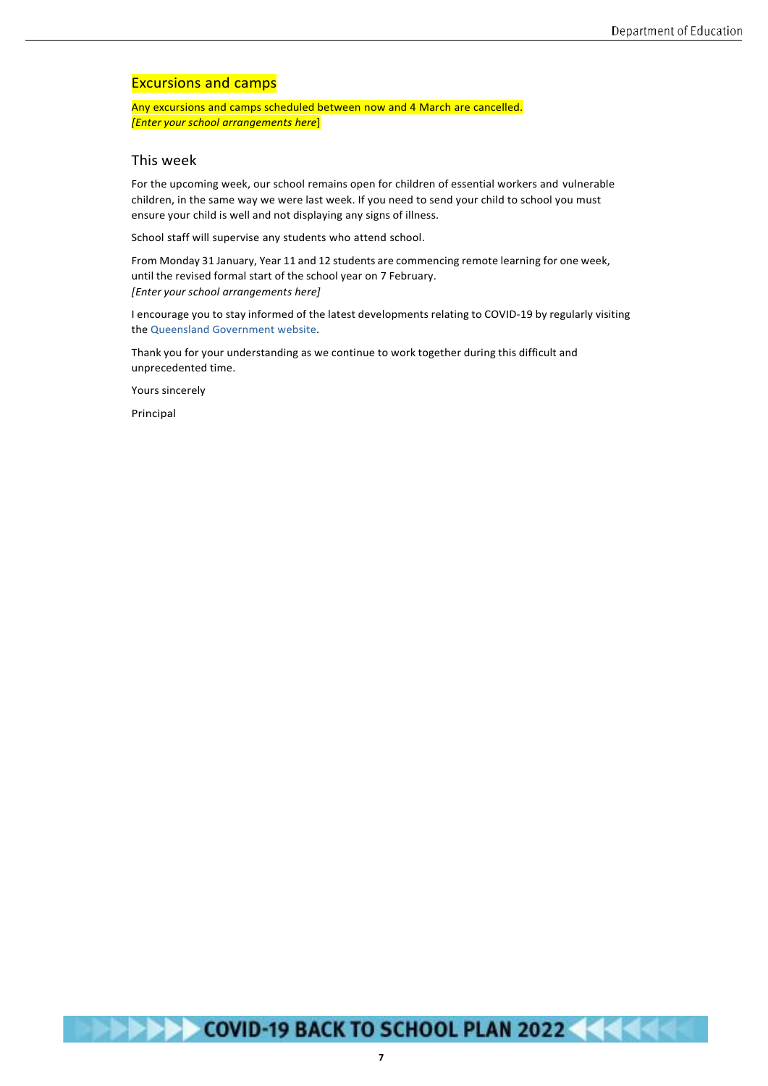#### Excursions and camps

Any excursions and camps scheduled between now and 4 March are cancelled. *[Enter your school arrangements here*]

#### This week

For the upcoming week, our school remains open for children of essential workers and vulnerable children, in the same way we were last week. If you need to send your child to school you must ensure your child is well and not displaying any signs of illness.

School staff will supervise any students who attend school.

From Monday 31 January, Year 11 and 12 students are commencing remote learning for one week, until the revised formal start of the school year on 7 February. *[Enter your school arrangements here]*

I encourage you to stay informed of the latest developments relating to COVID-19 by regularly visiting the Queensland [Government](http://www.covid19.qld.gov.au/) website.

Thank you for your understanding as we continue to work together during this difficult and unprecedented time.

Yours sincerely

Principal



**7**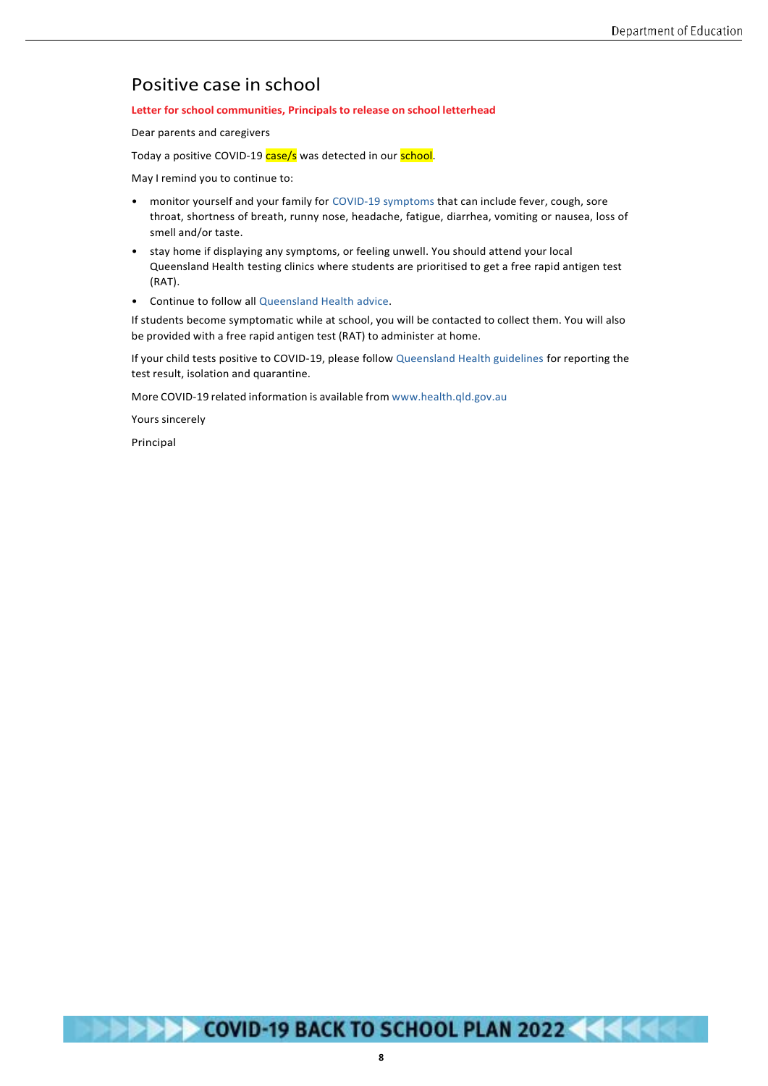## Positive case in school

#### **Letter for school communities, Principals to release on school letterhead**

Dear parents and caregivers

Today a positive COVID-19 case/s was detected in our school.

May I remind you to continue to:

- monitor yourself and your family for [COVID-19 symptoms t](https://www.qld.gov.au/health/conditions/health-alerts/coronavirus-covid-19/stay-informed/symptoms-of-novel-coronavirus-covid-19-comparison)hat can include fever, cough, sore throat, shortness of breath, runny nose, headache, fatigue, diarrhea, vomiting or nausea, loss of smell and/or taste.
- stay home if displaying any symptoms, or feeling unwell. You should attend your local Queensland Health testing clinics where students are prioritised to get a free rapid antigen test (RAT).
- Continue to follow all [Queensland Health](https://www.health.qld.gov.au/) advice.

If students become symptomatic while at school, you will be contacted to collect them. You will also be provided with a free rapid antigen test (RAT) to administer at home.

If your child tests positive to COVID-19, please follow [Queensland Health guidelines f](https://www.qld.gov.au/health/conditions/health-alerts/coronavirus-covid-19/stay-informed/i-have-covid/first-steps-if-you-have-covid)or reporting the test result, isolation and quarantine.

More COVID-19 related information is available from [www.health.qld.gov.au](http://www.health.qld.gov.au/)

Yours sincerely

Principal



**8**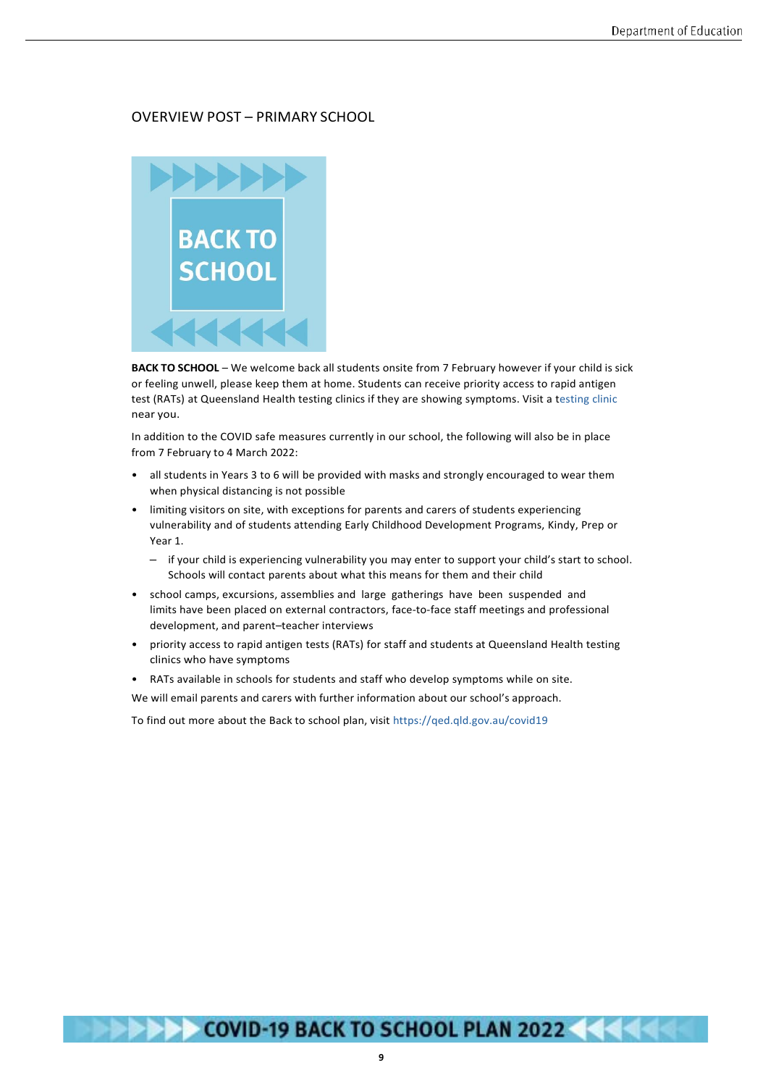#### OVERVIEW POST – PRIMARY SCHOOL



**BACK TO SCHOOL** – We welcome back all students onsite from 7 February however if your child is sick or feeling unwell, please keep them at home. Students can receive priority access to rapid antigen test (RATs) at Queensland Health testing clinics if they are showing symptoms. Visit a [testing](https://www.qld.gov.au/health/conditions/health-alerts/coronavirus-covid-19/stay-informed/exposed-to-covid/covid-testing-in-queensland) clinic near you.

In addition to the COVID safe measures currently in our school, the following will also be in place from 7 February to 4 March 2022:

- all students in Years 3 to 6 will be provided with masks and strongly encouraged to wear them when physical distancing is not possible
- limiting visitors on site, with exceptions for parents and carers of students experiencing vulnerability and of students attending Early Childhood Development Programs, Kindy, Prep or Year 1.
	- if your child is experiencing vulnerability you may enter to support your child's start to school. Schools will contact parents about what this means for them and their child
- school camps, excursions, assemblies and large gatherings have been suspended and limits have been placed on external contractors, face-to-face staff meetings and professional development, and parent–teacher interviews
- priority access to rapid antigen tests (RATs) for staff and students at Queensland Health testing clinics who have symptoms
- RATs available in schools for students and staff who develop symptoms while on site.

We will email parents and carers with further information about our school's approach.

To find out more about the Back to school plan, visi[t https://qed.qld.gov.au/covid19](https://qed.qld.gov.au/covid19)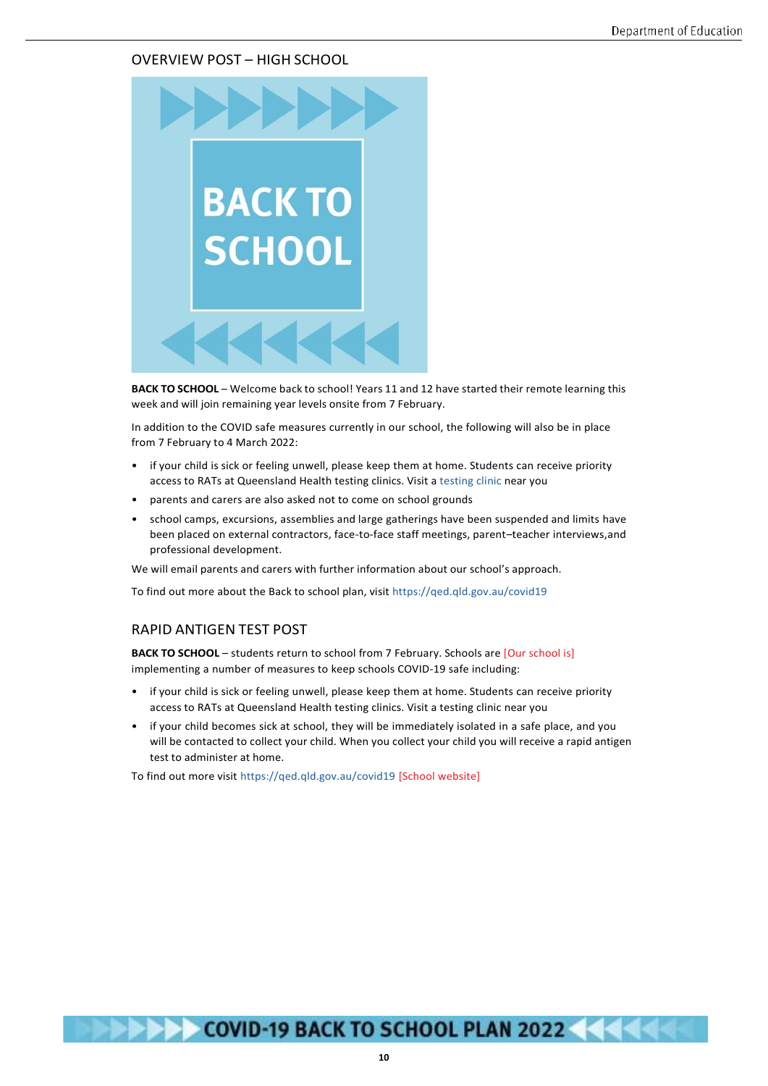#### OVERVIEW POST – HIGH SCHOOL



**BACK TO SCHOOL** – Welcome back to school! Years 11 and 12 have started their remote learning this week and will join remaining year levels onsite from 7 February.

In addition to the COVID safe measures currently in our school, the following will also be in place from 7 February to 4 March 2022:

- if your child is sick or feeling unwell, please keep them at home. Students can receive priority access to RATs at Queensland Health testing clinics. Visit a [testing clinic](https://www.qld.gov.au/health/conditions/health-alerts/coronavirus-covid-19/stay-informed/exposed-to-covid/covid-testing-in-queensland) near you
- parents and carers are also asked not to come on school grounds
- school camps, excursions, assemblies and large gatherings have been suspended and limits have been placed on external contractors, face-to-face staff meetings, parent–teacher interviews,and professional development.

We will email parents and carers with further information about our school's approach.

To find out more about the Back to school plan, visit <https://qed.qld.gov.au/covid19>

#### RAPID ANTIGEN TEST POST

**BACK TO SCHOOL** – students return to school from 7 February. Schools are [Our school is] implementing a number of measures to keep schools COVID-19 safe including:

- if your child is sick or feeling unwell, please keep them at home. Students can receive priority access to RATs at Queensland Health testing clinics. Visit a testing clinic near you
- if your child becomes sick at school, they will be immediately isolated in a safe place, and you will be contacted to collect your child. When you collect your child you will receive a rapid antigen test to administer at home.

To find out more visit<https://qed.qld.gov.au/covid19> [School website]